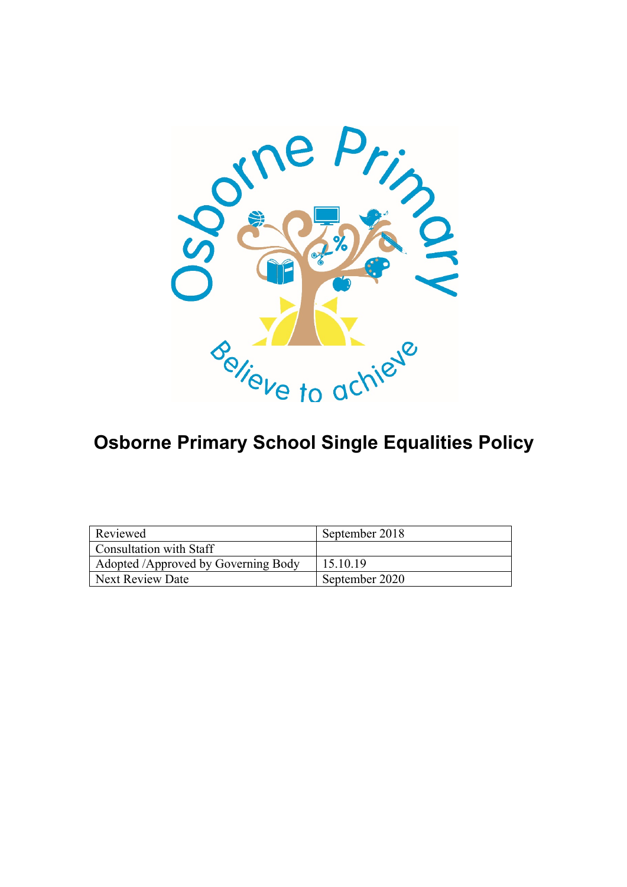

# **Osborne Primary School Single Equalities Policy**

| Reviewed                            | September 2018 |
|-------------------------------------|----------------|
| Consultation with Staff             |                |
| Adopted /Approved by Governing Body | 15.10.19       |
| Next Review Date                    | September 2020 |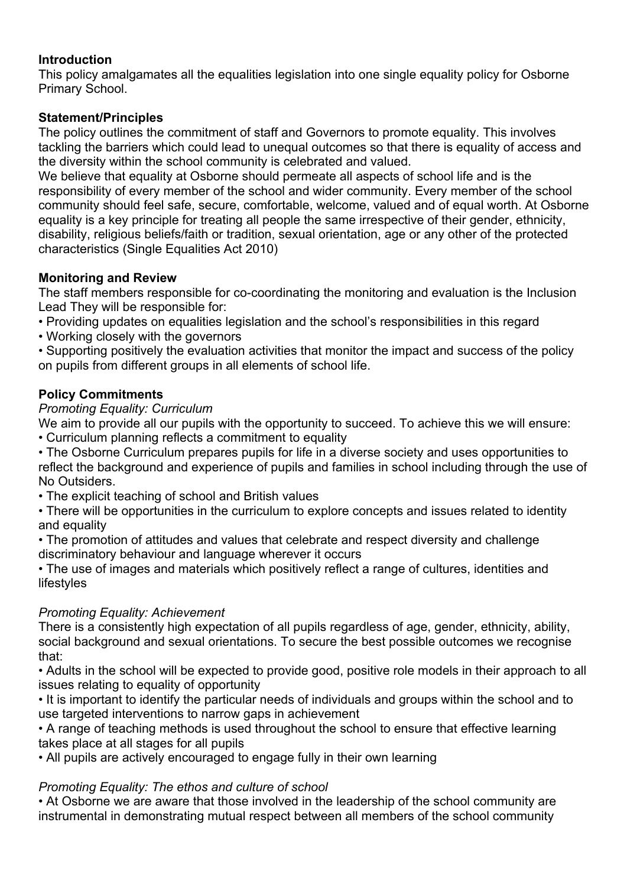## **Introduction**

This policy amalgamates all the equalities legislation into one single equality policy for Osborne Primary School.

## **Statement/Principles**

The policy outlines the commitment of staff and Governors to promote equality. This involves tackling the barriers which could lead to unequal outcomes so that there is equality of access and the diversity within the school community is celebrated and valued.

We believe that equality at Osborne should permeate all aspects of school life and is the responsibility of every member of the school and wider community. Every member of the school community should feel safe, secure, comfortable, welcome, valued and of equal worth. At Osborne equality is a key principle for treating all people the same irrespective of their gender, ethnicity, disability, religious beliefs/faith or tradition, sexual orientation, age or any other of the protected characteristics (Single Equalities Act 2010)

## **Monitoring and Review**

The staff members responsible for co-coordinating the monitoring and evaluation is the Inclusion Lead They will be responsible for:

- Providing updates on equalities legislation and the school's responsibilities in this regard
- Working closely with the governors

• Supporting positively the evaluation activities that monitor the impact and success of the policy on pupils from different groups in all elements of school life.

## **Policy Commitments**

## *Promoting Equality: Curriculum*

We aim to provide all our pupils with the opportunity to succeed. To achieve this we will ensure: • Curriculum planning reflects a commitment to equality

• The Osborne Curriculum prepares pupils for life in a diverse society and uses opportunities to reflect the background and experience of pupils and families in school including through the use of No Outsiders.

• The explicit teaching of school and British values

• There will be opportunities in the curriculum to explore concepts and issues related to identity and equality

• The promotion of attitudes and values that celebrate and respect diversity and challenge discriminatory behaviour and language wherever it occurs

• The use of images and materials which positively reflect a range of cultures, identities and lifestyles

## *Promoting Equality: Achievement*

There is a consistently high expectation of all pupils regardless of age, gender, ethnicity, ability, social background and sexual orientations. To secure the best possible outcomes we recognise that:

• Adults in the school will be expected to provide good, positive role models in their approach to all issues relating to equality of opportunity

• It is important to identify the particular needs of individuals and groups within the school and to use targeted interventions to narrow gaps in achievement

• A range of teaching methods is used throughout the school to ensure that effective learning takes place at all stages for all pupils

• All pupils are actively encouraged to engage fully in their own learning

## *Promoting Equality: The ethos and culture of school*

• At Osborne we are aware that those involved in the leadership of the school community are instrumental in demonstrating mutual respect between all members of the school community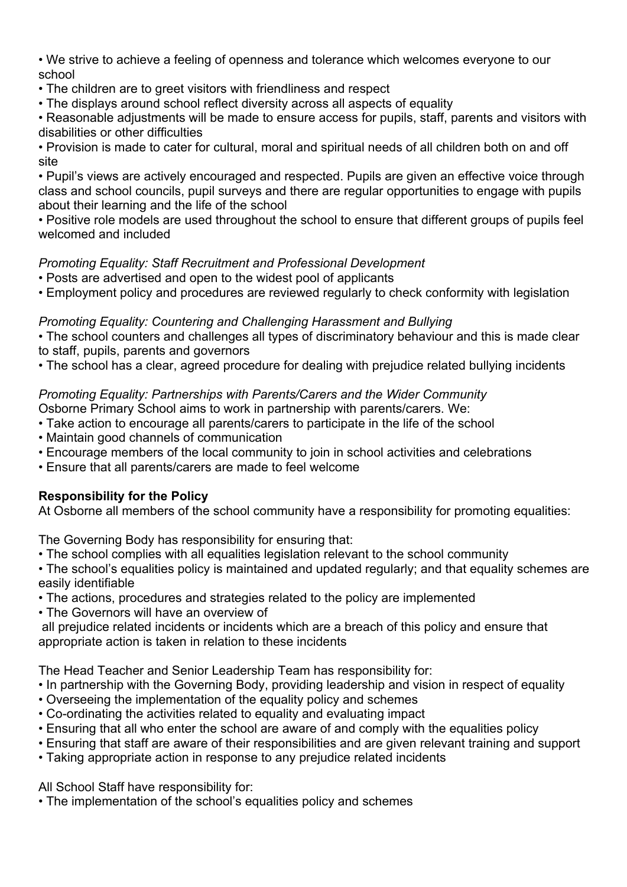• We strive to achieve a feeling of openness and tolerance which welcomes everyone to our school

- The children are to greet visitors with friendliness and respect
- The displays around school reflect diversity across all aspects of equality

• Reasonable adjustments will be made to ensure access for pupils, staff, parents and visitors with disabilities or other difficulties

• Provision is made to cater for cultural, moral and spiritual needs of all children both on and off site

• Pupil's views are actively encouraged and respected. Pupils are given an effective voice through class and school councils, pupil surveys and there are regular opportunities to engage with pupils about their learning and the life of the school

• Positive role models are used throughout the school to ensure that different groups of pupils feel welcomed and included

## *Promoting Equality: Staff Recruitment and Professional Development*

- Posts are advertised and open to the widest pool of applicants
- Employment policy and procedures are reviewed regularly to check conformity with legislation

## *Promoting Equality: Countering and Challenging Harassment and Bullying*

• The school counters and challenges all types of discriminatory behaviour and this is made clear to staff, pupils, parents and governors

• The school has a clear, agreed procedure for dealing with prejudice related bullying incidents

## *Promoting Equality: Partnerships with Parents/Carers and the Wider Community*

Osborne Primary School aims to work in partnership with parents/carers. We:

- Take action to encourage all parents/carers to participate in the life of the school
- Maintain good channels of communication
- Encourage members of the local community to join in school activities and celebrations
- Ensure that all parents/carers are made to feel welcome

## **Responsibility for the Policy**

At Osborne all members of the school community have a responsibility for promoting equalities:

The Governing Body has responsibility for ensuring that:

• The school complies with all equalities legislation relevant to the school community

• The school's equalities policy is maintained and updated regularly; and that equality schemes are easily identifiable

- The actions, procedures and strategies related to the policy are implemented
- The Governors will have an overview of

all prejudice related incidents or incidents which are a breach of this policy and ensure that appropriate action is taken in relation to these incidents

The Head Teacher and Senior Leadership Team has responsibility for:

- In partnership with the Governing Body, providing leadership and vision in respect of equality
- Overseeing the implementation of the equality policy and schemes
- Co-ordinating the activities related to equality and evaluating impact
- Ensuring that all who enter the school are aware of and comply with the equalities policy
- Ensuring that staff are aware of their responsibilities and are given relevant training and support
- Taking appropriate action in response to any prejudice related incidents

## All School Staff have responsibility for:

• The implementation of the school's equalities policy and schemes